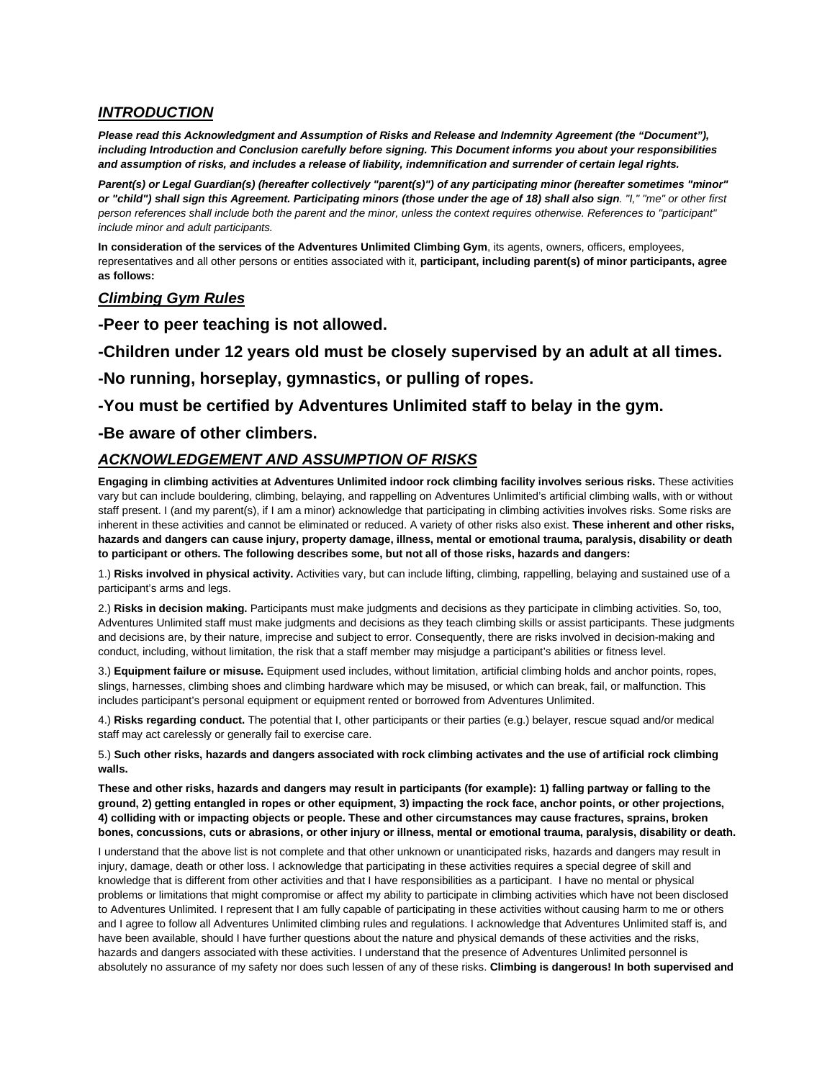## *INTRODUCTION*

*Please read this Acknowledgment and Assumption of Risks and Release and Indemnity Agreement (the "Document"), including Introduction and Conclusion carefully before signing. This Document informs you about your responsibilities and assumption of risks, and includes a release of liability, indemnification and surrender of certain legal rights.* 

*Parent(s) or Legal Guardian(s) (hereafter collectively "parent(s)") of any participating minor (hereafter sometimes "minor" or "child") shall sign this Agreement. Participating minors (those under the age of 18) shall also sign. "I," "me" or other first person references shall include both the parent and the minor, unless the context requires otherwise. References to "participant" include minor and adult participants.* 

**In consideration of the services of the Adventures Unlimited Climbing Gym**, its agents, owners, officers, employees, representatives and all other persons or entities associated with it, **participant, including parent(s) of minor participants, agree as follows:**

### *Climbing Gym Rules*

**-Peer to peer teaching is not allowed.**

**-Children under 12 years old must be closely supervised by an adult at all times.** 

**-No running, horseplay, gymnastics, or pulling of ropes.**

**-You must be certified by Adventures Unlimited staff to belay in the gym.**

#### **-Be aware of other climbers.**

### *ACKNOWLEDGEMENT AND ASSUMPTION OF RISKS*

**Engaging in climbing activities at Adventures Unlimited indoor rock climbing facility involves serious risks.** These activities vary but can include bouldering, climbing, belaying, and rappelling on Adventures Unlimited's artificial climbing walls, with or without staff present. I (and my parent(s), if I am a minor) acknowledge that participating in climbing activities involves risks. Some risks are inherent in these activities and cannot be eliminated or reduced. A variety of other risks also exist. **These inherent and other risks, hazards and dangers can cause injury, property damage, illness, mental or emotional trauma, paralysis, disability or death to participant or others. The following describes some, but not all of those risks, hazards and dangers:**

1.) **Risks involved in physical activity.** Activities vary, but can include lifting, climbing, rappelling, belaying and sustained use of a participant's arms and legs.

2.) **Risks in decision making.** Participants must make judgments and decisions as they participate in climbing activities. So, too, Adventures Unlimited staff must make judgments and decisions as they teach climbing skills or assist participants. These judgments and decisions are, by their nature, imprecise and subject to error. Consequently, there are risks involved in decision-making and conduct, including, without limitation, the risk that a staff member may misjudge a participant's abilities or fitness level.

3.) **Equipment failure or misuse.** Equipment used includes, without limitation, artificial climbing holds and anchor points, ropes, slings, harnesses, climbing shoes and climbing hardware which may be misused, or which can break, fail, or malfunction. This includes participant's personal equipment or equipment rented or borrowed from Adventures Unlimited.

4.) **Risks regarding conduct.** The potential that I, other participants or their parties (e.g.) belayer, rescue squad and/or medical staff may act carelessly or generally fail to exercise care.

5.) **Such other risks, hazards and dangers associated with rock climbing activates and the use of artificial rock climbing walls.** 

**These and other risks, hazards and dangers may result in participants (for example): 1) falling partway or falling to the ground, 2) getting entangled in ropes or other equipment, 3) impacting the rock face, anchor points, or other projections, 4) colliding with or impacting objects or people. These and other circumstances may cause fractures, sprains, broken bones, concussions, cuts or abrasions, or other injury or illness, mental or emotional trauma, paralysis, disability or death.** 

I understand that the above list is not complete and that other unknown or unanticipated risks, hazards and dangers may result in injury, damage, death or other loss. I acknowledge that participating in these activities requires a special degree of skill and knowledge that is different from other activities and that I have responsibilities as a participant. I have no mental or physical problems or limitations that might compromise or affect my ability to participate in climbing activities which have not been disclosed to Adventures Unlimited. I represent that I am fully capable of participating in these activities without causing harm to me or others and I agree to follow all Adventures Unlimited climbing rules and regulations. I acknowledge that Adventures Unlimited staff is, and have been available, should I have further questions about the nature and physical demands of these activities and the risks, hazards and dangers associated with these activities. I understand that the presence of Adventures Unlimited personnel is absolutely no assurance of my safety nor does such lessen of any of these risks. **Climbing is dangerous! In both supervised and**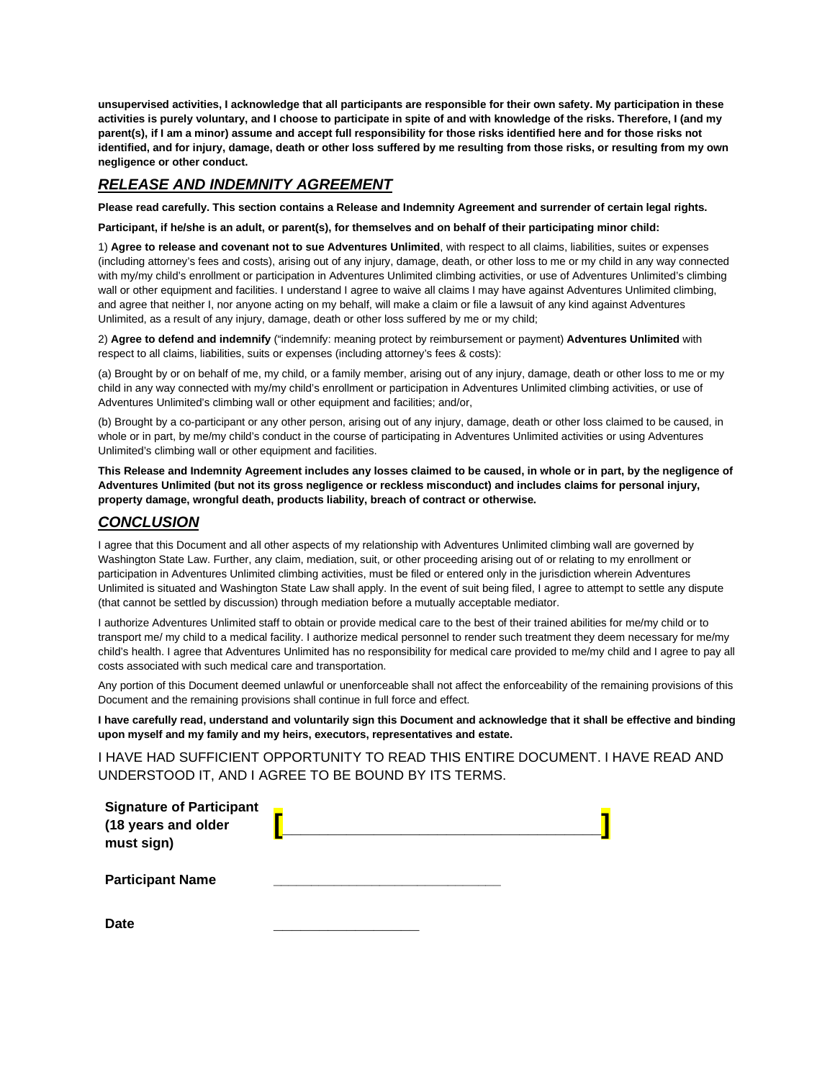**unsupervised activities, I acknowledge that all participants are responsible for their own safety. My participation in these activities is purely voluntary, and I choose to participate in spite of and with knowledge of the risks. Therefore, I (and my parent(s), if I am a minor) assume and accept full responsibility for those risks identified here and for those risks not identified, and for injury, damage, death or other loss suffered by me resulting from those risks, or resulting from my own negligence or other conduct.** 

# *RELEASE AND INDEMNITY AGREEMENT*

**Please read carefully. This section contains a Release and Indemnity Agreement and surrender of certain legal rights.** 

**Participant, if he/she is an adult, or parent(s), for themselves and on behalf of their participating minor child:**

1) **Agree to release and covenant not to sue Adventures Unlimited**, with respect to all claims, liabilities, suites or expenses (including attorney's fees and costs), arising out of any injury, damage, death, or other loss to me or my child in any way connected with my/my child's enrollment or participation in Adventures Unlimited climbing activities, or use of Adventures Unlimited's climbing wall or other equipment and facilities. I understand I agree to waive all claims I may have against Adventures Unlimited climbing, and agree that neither I, nor anyone acting on my behalf, will make a claim or file a lawsuit of any kind against Adventures Unlimited, as a result of any injury, damage, death or other loss suffered by me or my child;

2) **Agree to defend and indemnify** ("indemnify: meaning protect by reimbursement or payment) **Adventures Unlimited** with respect to all claims, liabilities, suits or expenses (including attorney's fees & costs):

(a) Brought by or on behalf of me, my child, or a family member, arising out of any injury, damage, death or other loss to me or my child in any way connected with my/my child's enrollment or participation in Adventures Unlimited climbing activities, or use of Adventures Unlimited's climbing wall or other equipment and facilities; and/or,

(b) Brought by a co-participant or any other person, arising out of any injury, damage, death or other loss claimed to be caused, in whole or in part, by me/my child's conduct in the course of participating in Adventures Unlimited activities or using Adventures Unlimited's climbing wall or other equipment and facilities.

**This Release and Indemnity Agreement includes any losses claimed to be caused, in whole or in part, by the negligence of Adventures Unlimited (but not its gross negligence or reckless misconduct) and includes claims for personal injury, property damage, wrongful death, products liability, breach of contract or otherwise.** 

## *CONCLUSION*

I agree that this Document and all other aspects of my relationship with Adventures Unlimited climbing wall are governed by Washington State Law. Further, any claim, mediation, suit, or other proceeding arising out of or relating to my enrollment or participation in Adventures Unlimited climbing activities, must be filed or entered only in the jurisdiction wherein Adventures Unlimited is situated and Washington State Law shall apply. In the event of suit being filed, I agree to attempt to settle any dispute (that cannot be settled by discussion) through mediation before a mutually acceptable mediator.

I authorize Adventures Unlimited staff to obtain or provide medical care to the best of their trained abilities for me/my child or to transport me/ my child to a medical facility. I authorize medical personnel to render such treatment they deem necessary for me/my child's health. I agree that Adventures Unlimited has no responsibility for medical care provided to me/my child and I agree to pay all costs associated with such medical care and transportation.

Any portion of this Document deemed unlawful or unenforceable shall not affect the enforceability of the remaining provisions of this Document and the remaining provisions shall continue in full force and effect.

**I have carefully read, understand and voluntarily sign this Document and acknowledge that it shall be effective and binding upon myself and my family and my heirs, executors, representatives and estate.**

I HAVE HAD SUFFICIENT OPPORTUNITY TO READ THIS ENTIRE DOCUMENT. I HAVE READ AND UNDERSTOOD IT, AND I AGREE TO BE BOUND BY ITS TERMS.

| <b>Signature of Participant</b><br>(18 years and older |  |
|--------------------------------------------------------|--|
| must sign)                                             |  |
| <b>Participant Name</b>                                |  |

**Date \_\_\_\_\_\_\_\_\_\_\_\_\_\_\_\_**